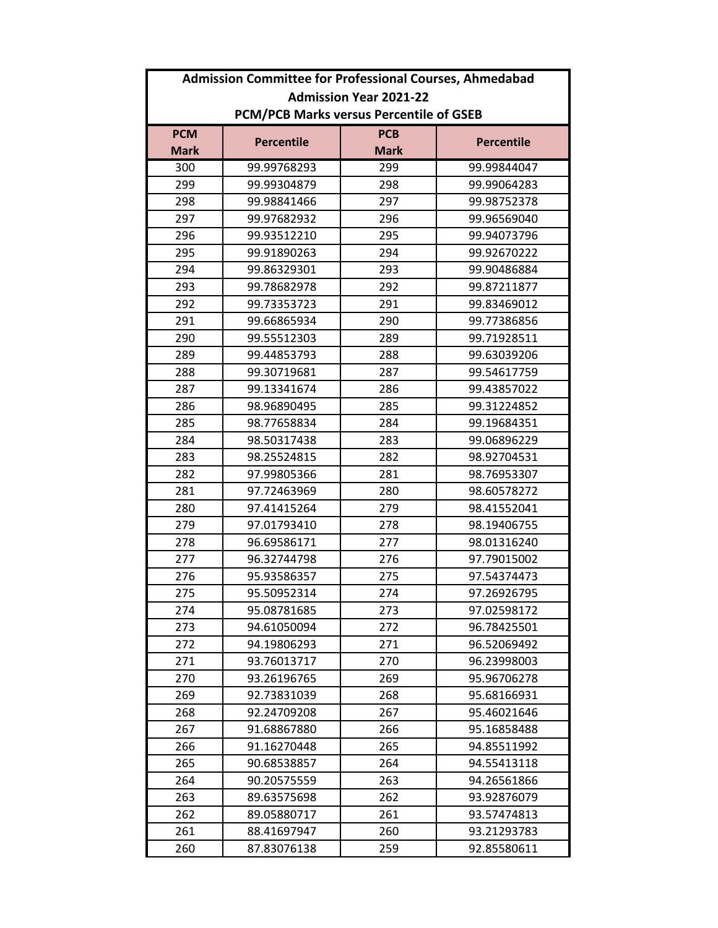|                                                | <b>Admission Committee for Professional Courses, Ahmedabad</b> |             |                   |  |
|------------------------------------------------|----------------------------------------------------------------|-------------|-------------------|--|
| <b>Admission Year 2021-22</b>                  |                                                                |             |                   |  |
| <b>PCM/PCB Marks versus Percentile of GSEB</b> |                                                                |             |                   |  |
| <b>PCM</b>                                     | <b>Percentile</b>                                              | <b>PCB</b>  | <b>Percentile</b> |  |
| <b>Mark</b>                                    |                                                                | <b>Mark</b> |                   |  |
| 300                                            | 99.99768293                                                    | 299         | 99.99844047       |  |
| 299                                            | 99.99304879                                                    | 298         | 99.99064283       |  |
| 298                                            | 99.98841466                                                    | 297         | 99.98752378       |  |
| 297                                            | 99.97682932                                                    | 296         | 99.96569040       |  |
| 296                                            | 99.93512210                                                    | 295         | 99.94073796       |  |
| 295                                            | 99.91890263                                                    | 294         | 99.92670222       |  |
| 294                                            | 99.86329301                                                    | 293         | 99.90486884       |  |
| 293                                            | 99.78682978                                                    | 292         | 99.87211877       |  |
| 292                                            | 99.73353723                                                    | 291         | 99.83469012       |  |
| 291                                            | 99.66865934                                                    | 290         | 99.77386856       |  |
| 290                                            | 99.55512303                                                    | 289         | 99.71928511       |  |
| 289                                            | 99.44853793                                                    | 288         | 99.63039206       |  |
| 288                                            | 99.30719681                                                    | 287         | 99.54617759       |  |
| 287                                            | 99.13341674                                                    | 286         | 99.43857022       |  |
| 286                                            | 98.96890495                                                    | 285         | 99.31224852       |  |
| 285                                            | 98.77658834                                                    | 284         | 99.19684351       |  |
| 284                                            | 98.50317438                                                    | 283         | 99.06896229       |  |
| 283                                            | 98.25524815                                                    | 282         | 98.92704531       |  |
| 282                                            | 97.99805366                                                    | 281         | 98.76953307       |  |
| 281                                            | 97.72463969                                                    | 280         | 98.60578272       |  |
| 280                                            | 97.41415264                                                    | 279         | 98.41552041       |  |
| 279                                            | 97.01793410                                                    | 278         | 98.19406755       |  |
| 278                                            | 96.69586171                                                    | 277         | 98.01316240       |  |
| 277                                            | 96.32744798                                                    | 276         | 97.79015002       |  |
| 276                                            | 95.93586357                                                    | 275         | 97.54374473       |  |
| 275                                            | 95.50952314                                                    | 274         | 97.26926795       |  |
| 274                                            | 95.08781685                                                    | 273         | 97.02598172       |  |
| 273                                            | 94.61050094                                                    | 272         | 96.78425501       |  |
| 272                                            | 94.19806293                                                    | 271         | 96.52069492       |  |
| 271                                            | 93.76013717                                                    | 270         | 96.23998003       |  |
| 270                                            | 93.26196765                                                    | 269         | 95.96706278       |  |
| 269                                            | 92.73831039                                                    | 268         | 95.68166931       |  |
| 268                                            | 92.24709208                                                    | 267         | 95.46021646       |  |
| 267                                            | 91.68867880                                                    | 266         | 95.16858488       |  |
| 266                                            | 91.16270448                                                    | 265         | 94.85511992       |  |
| 265                                            | 90.68538857                                                    | 264         | 94.55413118       |  |
| 264                                            | 90.20575559                                                    | 263         | 94.26561866       |  |
| 263                                            | 89.63575698                                                    | 262         | 93.92876079       |  |
| 262                                            | 89.05880717                                                    | 261         | 93.57474813       |  |
| 261                                            | 88.41697947                                                    | 260         | 93.21293783       |  |
| 260                                            | 87.83076138                                                    | 259         | 92.85580611       |  |
|                                                |                                                                |             |                   |  |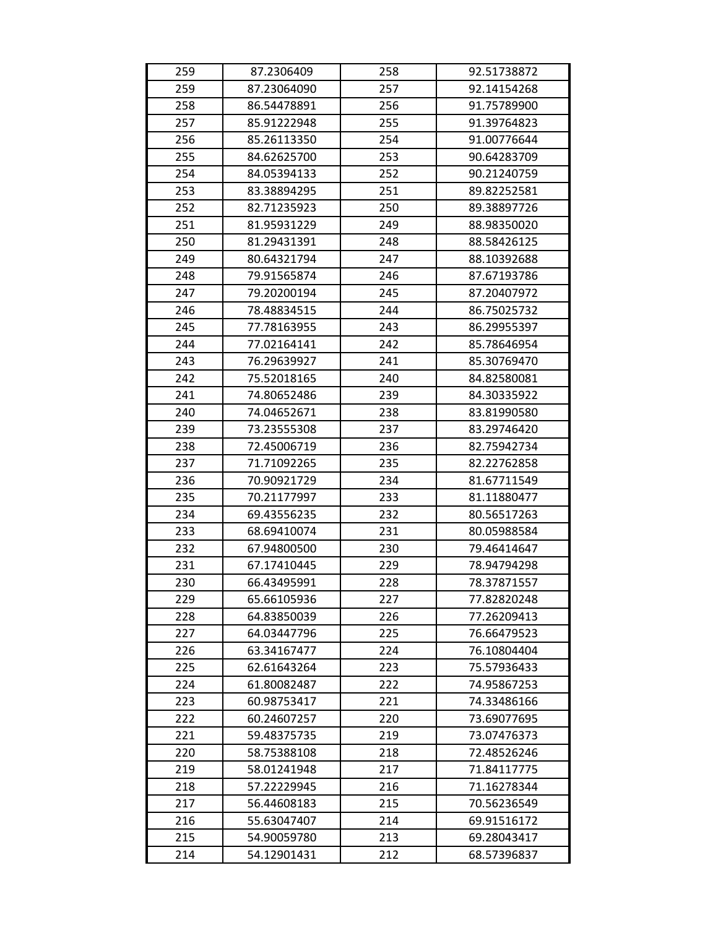| 259 | 87.2306409  | 258 | 92.51738872 |
|-----|-------------|-----|-------------|
| 259 | 87.23064090 | 257 | 92.14154268 |
| 258 | 86.54478891 | 256 | 91.75789900 |
| 257 | 85.91222948 | 255 | 91.39764823 |
| 256 | 85.26113350 | 254 | 91.00776644 |
| 255 | 84.62625700 | 253 | 90.64283709 |
| 254 | 84.05394133 | 252 | 90.21240759 |
| 253 | 83.38894295 | 251 | 89.82252581 |
| 252 | 82.71235923 | 250 | 89.38897726 |
| 251 | 81.95931229 | 249 | 88.98350020 |
| 250 | 81.29431391 | 248 | 88.58426125 |
| 249 | 80.64321794 | 247 | 88.10392688 |
| 248 | 79.91565874 | 246 | 87.67193786 |
| 247 | 79.20200194 | 245 | 87.20407972 |
| 246 | 78.48834515 | 244 | 86.75025732 |
| 245 | 77.78163955 | 243 | 86.29955397 |
| 244 | 77.02164141 | 242 | 85.78646954 |
| 243 | 76.29639927 | 241 | 85.30769470 |
| 242 | 75.52018165 | 240 | 84.82580081 |
| 241 | 74.80652486 | 239 | 84.30335922 |
| 240 | 74.04652671 | 238 | 83.81990580 |
| 239 | 73.23555308 | 237 | 83.29746420 |
| 238 | 72.45006719 | 236 | 82.75942734 |
| 237 | 71.71092265 | 235 | 82.22762858 |
| 236 | 70.90921729 | 234 | 81.67711549 |
| 235 | 70.21177997 | 233 | 81.11880477 |
| 234 | 69.43556235 | 232 | 80.56517263 |
| 233 | 68.69410074 | 231 | 80.05988584 |
| 232 | 67.94800500 | 230 | 79.46414647 |
| 231 | 67.17410445 | 229 | 78.94794298 |
| 230 | 66.43495991 | 228 | 78.37871557 |
| 229 | 65.66105936 | 227 | 77.82820248 |
| 228 | 64.83850039 | 226 | 77.26209413 |
| 227 | 64.03447796 | 225 | 76.66479523 |
| 226 | 63.34167477 | 224 | 76.10804404 |
| 225 | 62.61643264 | 223 | 75.57936433 |
| 224 | 61.80082487 | 222 | 74.95867253 |
| 223 | 60.98753417 | 221 | 74.33486166 |
| 222 | 60.24607257 | 220 | 73.69077695 |
| 221 | 59.48375735 | 219 | 73.07476373 |
| 220 | 58.75388108 | 218 | 72.48526246 |
| 219 | 58.01241948 | 217 | 71.84117775 |
| 218 | 57.22229945 | 216 | 71.16278344 |
| 217 | 56.44608183 | 215 | 70.56236549 |
| 216 | 55.63047407 | 214 | 69.91516172 |
| 215 | 54.90059780 | 213 | 69.28043417 |
| 214 | 54.12901431 | 212 | 68.57396837 |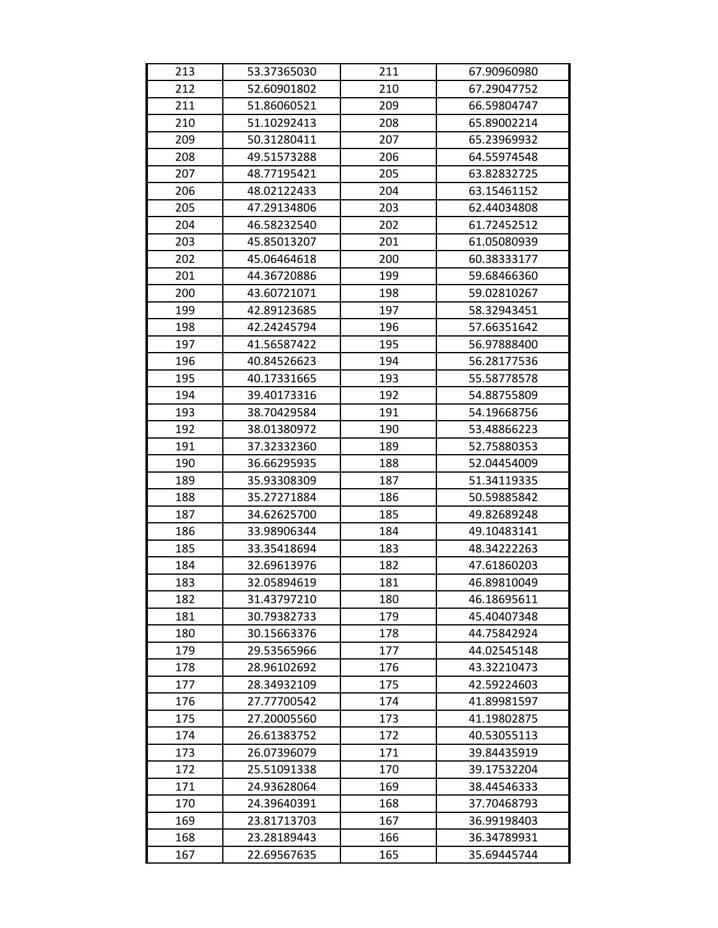| 213 | 53.37365030 | 211 | 67.90960980 |
|-----|-------------|-----|-------------|
| 212 | 52.60901802 | 210 | 67.29047752 |
| 211 | 51.86060521 | 209 | 66.59804747 |
| 210 | 51.10292413 | 208 | 65.89002214 |
| 209 | 50.31280411 | 207 | 65.23969932 |
| 208 | 49.51573288 | 206 | 64.55974548 |
| 207 | 48.77195421 | 205 | 63.82832725 |
| 206 | 48.02122433 | 204 | 63.15461152 |
| 205 | 47.29134806 | 203 | 62.44034808 |
| 204 | 46.58232540 | 202 | 61.72452512 |
| 203 | 45.85013207 | 201 | 61.05080939 |
| 202 | 45.06464618 | 200 | 60.38333177 |
| 201 | 44.36720886 | 199 | 59.68466360 |
| 200 | 43.60721071 | 198 | 59.02810267 |
| 199 | 42.89123685 | 197 | 58.32943451 |
| 198 | 42.24245794 | 196 | 57.66351642 |
| 197 | 41.56587422 | 195 | 56.97888400 |
| 196 | 40.84526623 | 194 | 56.28177536 |
| 195 | 40.17331665 | 193 | 55.58778578 |
| 194 | 39.40173316 | 192 | 54.88755809 |
| 193 | 38.70429584 | 191 | 54.19668756 |
| 192 | 38.01380972 | 190 | 53.48866223 |
| 191 | 37.32332360 | 189 | 52.75880353 |
| 190 | 36.66295935 | 188 | 52.04454009 |
| 189 | 35.93308309 | 187 | 51.34119335 |
| 188 | 35.27271884 | 186 | 50.59885842 |
| 187 | 34.62625700 | 185 | 49.82689248 |
| 186 | 33.98906344 | 184 | 49.10483141 |
| 185 | 33.35418694 | 183 | 48.34222263 |
| 184 | 32.69613976 | 182 | 47.61860203 |
| 183 | 32.05894619 | 181 | 46.89810049 |
| 182 | 31.43797210 | 180 | 46.18695611 |
| 181 | 30.79382733 | 179 | 45.40407348 |
| 180 | 30.15663376 | 178 | 44.75842924 |
| 179 | 29.53565966 | 177 | 44.02545148 |
| 178 | 28.96102692 | 176 | 43.32210473 |
| 177 | 28.34932109 | 175 | 42.59224603 |
| 176 | 27.77700542 | 174 | 41.89981597 |
| 175 | 27.20005560 | 173 | 41.19802875 |
| 174 | 26.61383752 | 172 | 40.53055113 |
| 173 | 26.07396079 | 171 | 39.84435919 |
| 172 | 25.51091338 | 170 | 39.17532204 |
| 171 | 24.93628064 | 169 | 38.44546333 |
| 170 | 24.39640391 | 168 | 37.70468793 |
| 169 | 23.81713703 | 167 | 36.99198403 |
| 168 | 23.28189443 | 166 | 36.34789931 |
| 167 | 22.69567635 | 165 | 35.69445744 |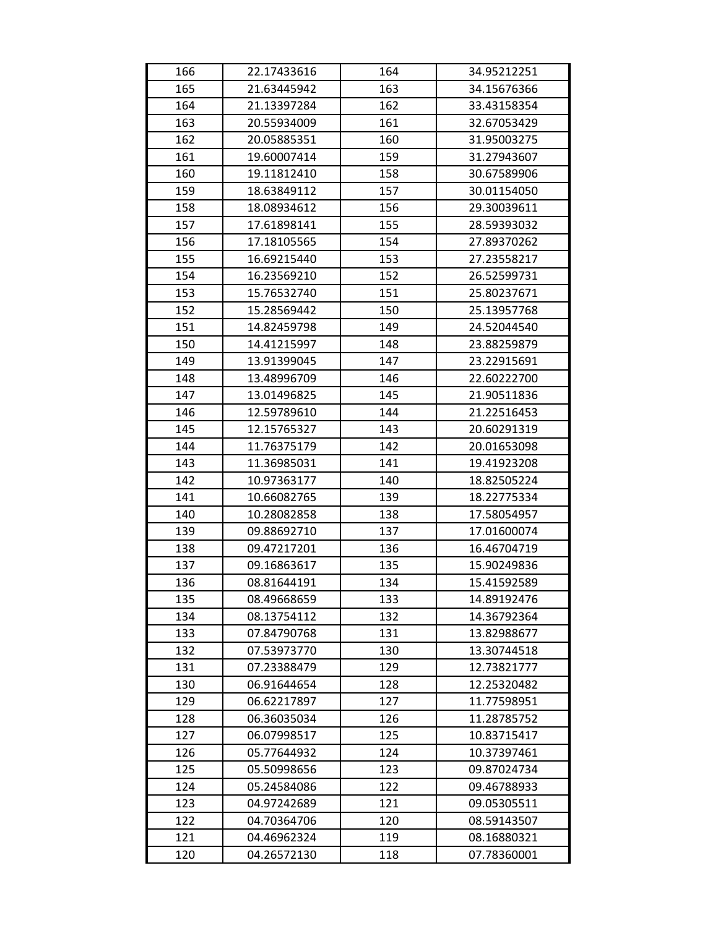| 166 | 22.17433616 | 164 | 34.95212251 |
|-----|-------------|-----|-------------|
| 165 | 21.63445942 | 163 | 34.15676366 |
| 164 | 21.13397284 | 162 | 33.43158354 |
| 163 | 20.55934009 | 161 | 32.67053429 |
| 162 | 20.05885351 | 160 | 31.95003275 |
| 161 | 19.60007414 | 159 | 31.27943607 |
| 160 | 19.11812410 | 158 | 30.67589906 |
| 159 | 18.63849112 | 157 | 30.01154050 |
| 158 | 18.08934612 | 156 | 29.30039611 |
| 157 | 17.61898141 | 155 | 28.59393032 |
| 156 | 17.18105565 | 154 | 27.89370262 |
| 155 | 16.69215440 | 153 | 27.23558217 |
| 154 | 16.23569210 | 152 | 26.52599731 |
| 153 | 15.76532740 | 151 | 25.80237671 |
| 152 | 15.28569442 | 150 | 25.13957768 |
| 151 | 14.82459798 | 149 | 24.52044540 |
| 150 | 14.41215997 | 148 | 23.88259879 |
| 149 | 13.91399045 | 147 | 23.22915691 |
| 148 | 13.48996709 | 146 | 22.60222700 |
| 147 | 13.01496825 | 145 | 21.90511836 |
| 146 | 12.59789610 | 144 | 21.22516453 |
| 145 | 12.15765327 | 143 | 20.60291319 |
| 144 | 11.76375179 | 142 | 20.01653098 |
| 143 | 11.36985031 | 141 | 19.41923208 |
| 142 | 10.97363177 | 140 | 18.82505224 |
| 141 | 10.66082765 | 139 | 18.22775334 |
| 140 | 10.28082858 | 138 | 17.58054957 |
| 139 | 09.88692710 | 137 | 17.01600074 |
| 138 | 09.47217201 | 136 | 16.46704719 |
| 137 | 09.16863617 | 135 | 15.90249836 |
| 136 | 08.81644191 | 134 | 15.41592589 |
| 135 | 08.49668659 | 133 | 14.89192476 |
| 134 | 08.13754112 | 132 | 14.36792364 |
| 133 | 07.84790768 | 131 | 13.82988677 |
| 132 | 07.53973770 | 130 | 13.30744518 |
| 131 | 07.23388479 | 129 | 12.73821777 |
| 130 | 06.91644654 | 128 | 12.25320482 |
| 129 | 06.62217897 | 127 | 11.77598951 |
| 128 | 06.36035034 | 126 | 11.28785752 |
| 127 | 06.07998517 | 125 | 10.83715417 |
| 126 | 05.77644932 | 124 | 10.37397461 |
| 125 | 05.50998656 | 123 | 09.87024734 |
| 124 | 05.24584086 | 122 | 09.46788933 |
| 123 | 04.97242689 | 121 | 09.05305511 |
| 122 | 04.70364706 | 120 | 08.59143507 |
| 121 | 04.46962324 | 119 | 08.16880321 |
| 120 | 04.26572130 | 118 | 07.78360001 |
|     |             |     |             |